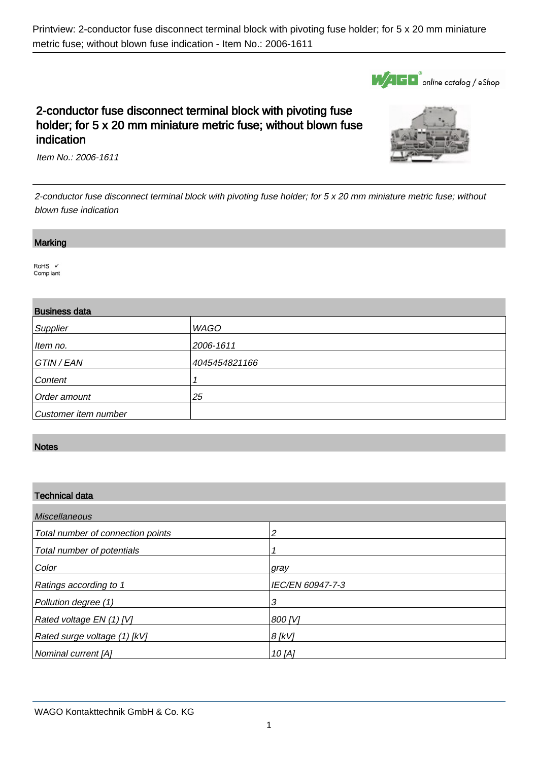

# 2-conductor fuse disconnect terminal block with pivoting fuse holder; for 5 x 20 mm miniature metric fuse; without blown fuse indication



Item No.: 2006-1611

2-conductor fuse disconnect terminal block with pivoting fuse holder; for 5 x 20 mm miniature metric fuse; without blown fuse indication

#### **Marking**

.

.

RoHS V Compliant

## Business data

| <b>DUOILICOO UGIG</b> |               |
|-----------------------|---------------|
| Supplier              | <b>WAGO</b>   |
| Item no.              | 2006-1611     |
| GTIN / EAN            | 4045454821166 |
| Content               |               |
| Order amount          | 25            |
| Customer item number  |               |

## **Notes**

.

#### Technical data

| <b>Miscellaneous</b>              |                  |  |
|-----------------------------------|------------------|--|
| Total number of connection points | っ                |  |
| Total number of potentials        |                  |  |
| Color                             | gray             |  |
| Ratings according to 1            | IEC/EN 60947-7-3 |  |
| Pollution degree (1)              | 3                |  |
| Rated voltage EN (1) [V]          | 800 [V]          |  |
| Rated surge voltage (1) [kV]      | $8$ [kV]         |  |
| Nominal current [A]               | 10 [A]           |  |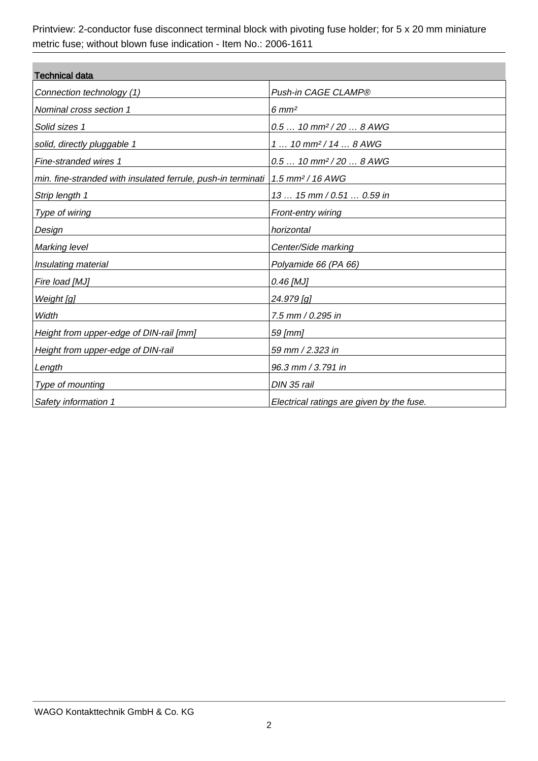| <b>Technical data</b>                                        |                                           |  |
|--------------------------------------------------------------|-------------------------------------------|--|
| Connection technology (1)                                    | Push-in CAGE CLAMP®                       |  |
| Nominal cross section 1                                      | $6 \, \text{mm}^2$                        |  |
| Solid sizes 1                                                | $0.510$ mm <sup>2</sup> /20  8 AWG        |  |
| solid, directly pluggable 1                                  | $1 10$ mm <sup>2</sup> /14  8 AWG         |  |
| Fine-stranded wires 1                                        | $0.510$ mm <sup>2</sup> /20  8 AWG        |  |
| min. fine-stranded with insulated ferrule, push-in terminati | $1.5 \text{ mm}^2 / 16 \text{ AWG}$       |  |
| Strip length 1                                               | 13  15 mm / 0.51  0.59 in                 |  |
| Type of wiring                                               | <b>Front-entry wiring</b>                 |  |
| Design                                                       | horizontal                                |  |
| <b>Marking level</b>                                         | Center/Side marking                       |  |
| Insulating material                                          | Polyamide 66 (PA 66)                      |  |
| Fire load [MJ]                                               | 0.46 [MJ]                                 |  |
| Weight [g]                                                   | 24.979 [g]                                |  |
| Width                                                        | 7.5 mm / 0.295 in                         |  |
| Height from upper-edge of DIN-rail [mm]                      | 59 [mm]                                   |  |
| Height from upper-edge of DIN-rail                           | 59 mm / 2.323 in                          |  |
| Length                                                       | 96.3 mm / 3.791 in                        |  |
| Type of mounting                                             | DIN 35 rail                               |  |
| Safety information 1                                         | Electrical ratings are given by the fuse. |  |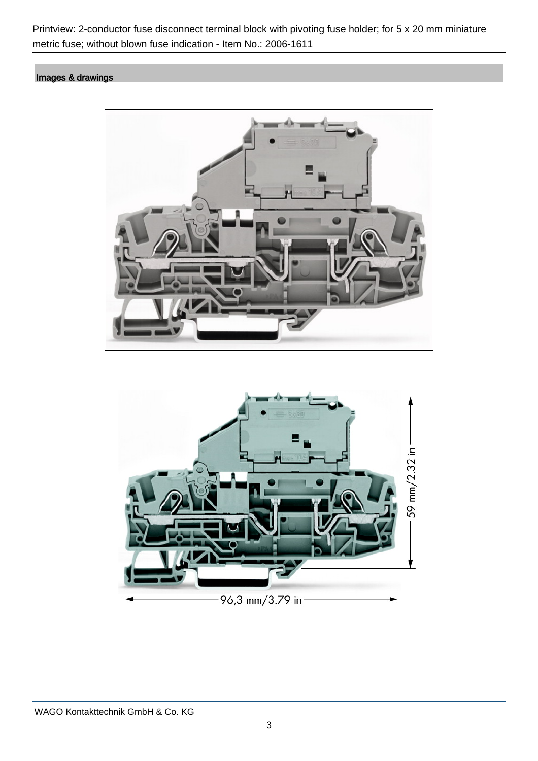# Images & drawings